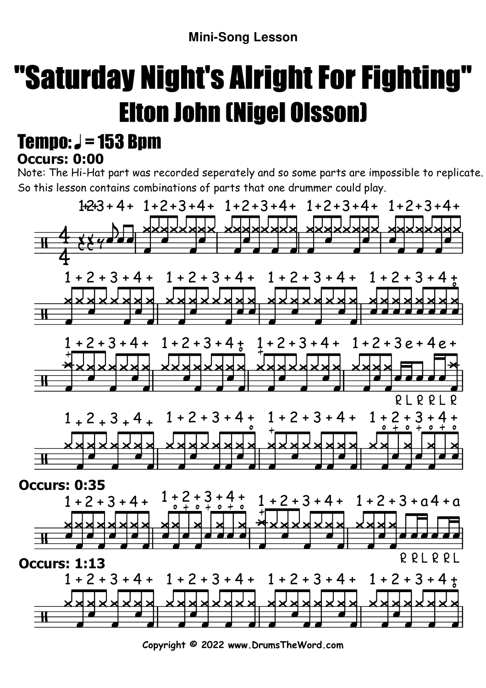## "Saturday Night's Alright For Fighting"Elton John (Nigel Olsson)

## **Occurs: 0:00** Tempo:  $J = 153$  Bpm

Note: The Hi-Hat part was recorded seperately and so some parts are impossible to replicate. So this lesson contains combinations of parts that one drummer could play.



**Copyright © 2022 www.DrumsTheWord.com**